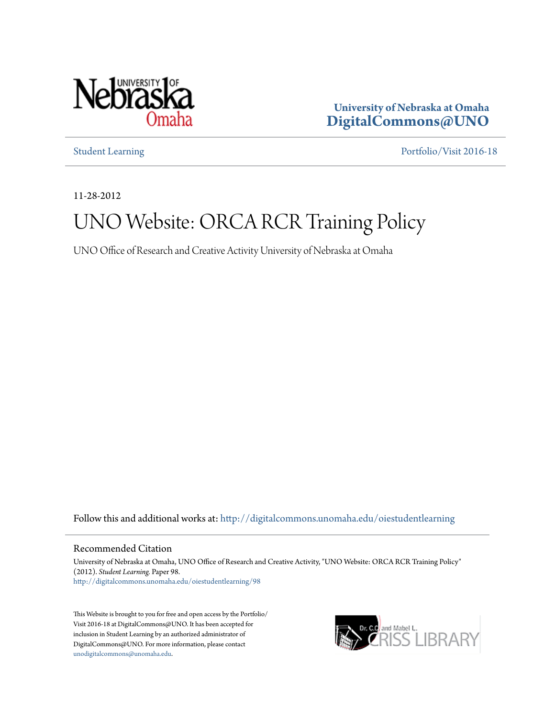

**University of Nebraska at Omaha [DigitalCommons@UNO](http://digitalcommons.unomaha.edu?utm_source=digitalcommons.unomaha.edu%2Foiestudentlearning%2F98&utm_medium=PDF&utm_campaign=PDFCoverPages)**

[Student Learning](http://digitalcommons.unomaha.edu/oiestudentlearning?utm_source=digitalcommons.unomaha.edu%2Foiestudentlearning%2F98&utm_medium=PDF&utm_campaign=PDFCoverPages) [Portfolio/Visit 2016-18](http://digitalcommons.unomaha.edu/oieportfolio?utm_source=digitalcommons.unomaha.edu%2Foiestudentlearning%2F98&utm_medium=PDF&utm_campaign=PDFCoverPages)

11-28-2012

## UNO Website: ORCA RCR Training Policy

UNO Office of Research and Creative Activity University of Nebraska at Omaha

Follow this and additional works at: [http://digitalcommons.unomaha.edu/oiestudentlearning](http://digitalcommons.unomaha.edu/oiestudentlearning?utm_source=digitalcommons.unomaha.edu%2Foiestudentlearning%2F98&utm_medium=PDF&utm_campaign=PDFCoverPages)

## Recommended Citation

University of Nebraska at Omaha, UNO Office of Research and Creative Activity, "UNO Website: ORCA RCR Training Policy" (2012). *Student Learning.* Paper 98. [http://digitalcommons.unomaha.edu/oiestudentlearning/98](http://digitalcommons.unomaha.edu/oiestudentlearning/98?utm_source=digitalcommons.unomaha.edu%2Foiestudentlearning%2F98&utm_medium=PDF&utm_campaign=PDFCoverPages)

This Website is brought to you for free and open access by the Portfolio/ Visit 2016-18 at DigitalCommons@UNO. It has been accepted for inclusion in Student Learning by an authorized administrator of DigitalCommons@UNO. For more information, please contact [unodigitalcommons@unomaha.edu](mailto:unodigitalcommons@unomaha.edu).